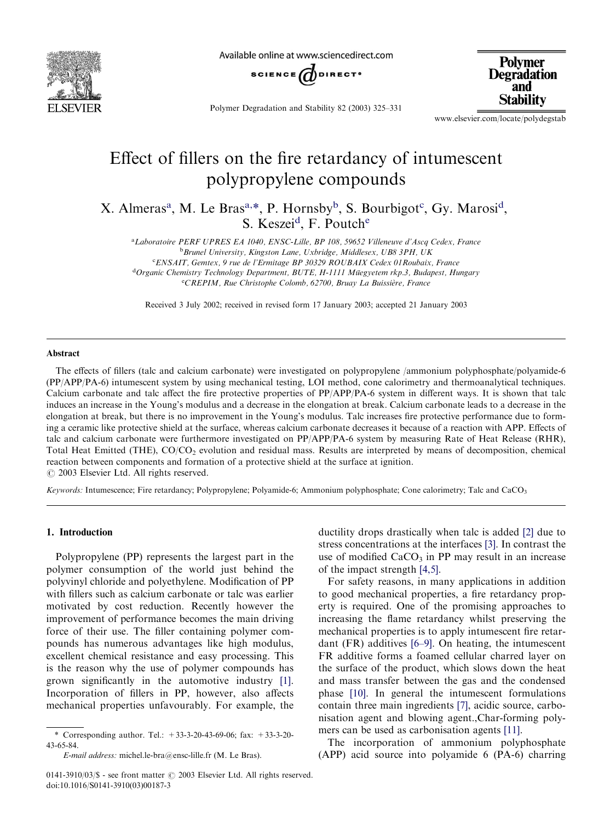

Available online at www.sciencedirect.com



**Polymer Degradation** and **Stability** 

Polymer Degradation and Stability 82 (2003) 325–331

[www.elsevier.com/locate/polydegstab](http://www.elsevier.com/locate/polydegstab/a4.3d)

# Effect of fillers on the fire retardancy of intumescent polypropylene compounds

X. Almeras<sup>a</sup>, M. Le Bras<sup>a,\*</sup>, P. Hornsby<sup>b</sup>, S. Bourbigot<sup>c</sup>, Gy. Marosi<sup>d</sup>, S. Keszei<sup>d</sup>, F. Poutch<sup>e</sup>

a Laboratoire PERF UPRES EA 1040, ENSC-Lille, BP 108, 59652 Villeneuve d'Ascq Cedex, France <sup>b</sup>Brunel University, Kingston Lane, Uxbridge, Middlesex, UB8 3PH, UK <sup>c</sup>ENSAIT, Gemtex, 9 rue de l'Ermitage BP 30329 ROUBAIX Cedex 01 Roubaix, France <sup>d</sup>Organic Chemistry Technology Department, BUTE, H-1111 Müegyetem rkp.3, Budapest, Hungary eCREPIM, Rue Christophe Colomb, 62700, Bruay La Buissière, France

Received 3 July 2002; received in revised form 17 January 2003; accepted 21 January 2003

#### Abstract

The effects of fillers (talc and calcium carbonate) were investigated on polypropylene /ammonium polyphosphate/polyamide-6 (PP/APP/PA-6) intumescent system by using mechanical testing, LOI method, cone calorimetry and thermoanalytical techniques. Calcium carbonate and talc affect the fire protective properties of PP/APP/PA-6 system in different ways. It is shown that talc induces an increase in the Young's modulus and a decrease in the elongation at break. Calcium carbonate leads to a decrease in the elongation at break, but there is no improvement in the Young's modulus. Talc increases fire protective performance due to forming a ceramic like protective shield at the surface, whereas calcium carbonate decreases it because of a reaction with APP. Effects of talc and calcium carbonate were furthermore investigated on PP/APP/PA-6 system by measuring Rate of Heat Release (RHR), Total Heat Emitted (THE), CO/CO<sub>2</sub> evolution and residual mass. Results are interpreted by means of decomposition, chemical reaction between components and formation of a protective shield at the surface at ignition.  $\odot$  2003 Elsevier Ltd. All rights reserved.

Keywords: Intumescence; Fire retardancy; Polypropylene; Polyamide-6; Ammonium polyphosphate; Cone calorimetry; Talc and CaCO<sub>3</sub>

## 1. Introduction

Polypropylene (PP) represents the largest part in the polymer consumption of the world just behind the polyvinyl chloride and polyethylene. Modification of PP with fillers such as calcium carbonate or talc was earlier motivated by cost reduction. Recently however the improvement of performance becomes the main driving force of their use. The filler containing polymer compounds has numerous advantages like high modulus, excellent chemical resistance and easy processing. This is the reason why the use of polymer compounds has grown significantly in the automotive industry [\[1\]](#page-6-0). Incorporation of fillers in PP, however, also affects mechanical properties unfavourably. For example, the ductility drops drastically when talc is added [2] due to stress concentrations at the interfaces [\[3\]](#page-6-0). In contrast the use of modified  $CaCO<sub>3</sub>$  in PP may result in an increase of the impact strength [\[4,5\].](#page-6-0)

For safety reasons, in many applications in addition to good mechanical properties, a fire retardancy property is required. One of the promising approaches to increasing the flame retardancy whilst preserving the mechanical properties is to apply intumescent fire retardant (FR) additives [\[6–9\].](#page-6-0) On heating, the intumescent FR additive forms a foamed cellular charred layer on the surface of the product, which slows down the heat and mass transfer between the gas and the condensed phase [\[10\].](#page-6-0) In general the intumescent formulations contain three main ingredients [\[7\]](#page-6-0), acidic source, carbonisation agent and blowing agent.,Char-forming polymers can be used as carbonisation agents [\[11\].](#page-6-0)

The incorporation of ammonium polyphosphate (APP) acid source into polyamide 6 (PA-6) charring

<sup>\*</sup> Corresponding author. Tel.: +33-3-20-43-69-06; fax: +33-3-20- 43-65-84.

E-mail address: [michel.le-bra@ensc-lille.fr](mailto:michel.le-bra@ensc-lille.fr) (M. Le Bras).

<sup>0141-3910/03/\$ -</sup> see front matter  $\odot$  2003 Elsevier Ltd. All rights reserved. doi:10.1016/S0141-3910(03)00187-3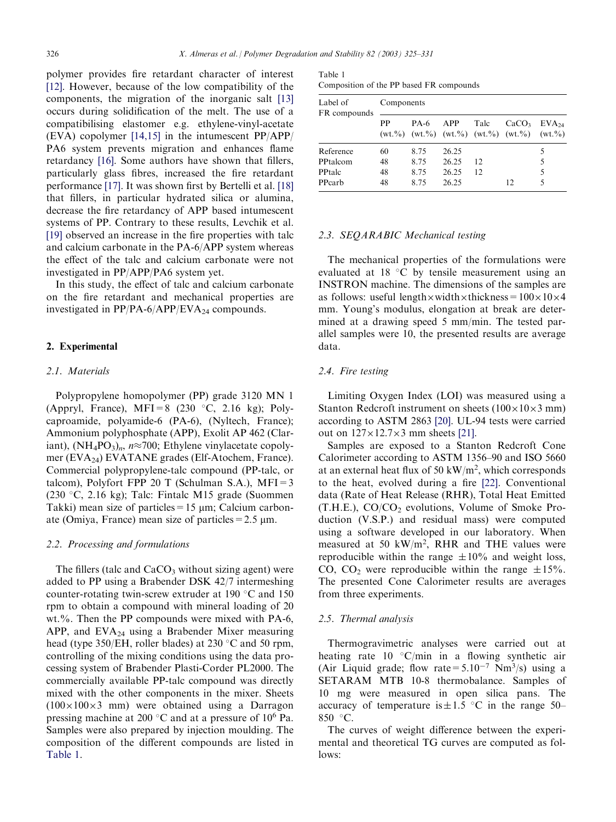polymer provides fire retardant character of interest [\[12\]](#page-6-0). However, because of the low compatibility of the components, the migration of the inorganic salt [\[13\]](#page-6-0) occurs during solidification of the melt. The use of a compatibilising elastomer e.g. ethylene-vinyl-acetate (EVA) copolymer [\[14,15\]](#page-6-0) in the intumescent PP/APP/ PA6 system prevents migration and enhances flame retardancy [\[16\]](#page-6-0). Some authors have shown that fillers, particularly glass fibres, increased the fire retardant performance [\[17\].](#page-6-0) It was shown first by Bertelli et al. [\[18\]](#page-6-0) that fillers, in particular hydrated silica or alumina, decrease the fire retardancy of APP based intumescent systems of PP. Contrary to these results, Levchik et al. [\[19\]](#page-6-0) observed an increase in the fire properties with talc and calcium carbonate in the PA-6/APP system whereas the effect of the talc and calcium carbonate were not investigated in PP/APP/PA6 system yet.

In this study, the effect of talc and calcium carbonate on the fire retardant and mechanical properties are investigated in  $PP/PA-6/APP/EVA_{24}$  compounds.

## 2. Experimental

#### 2.1. Materials

Polypropylene homopolymer (PP) grade 3120 MN 1 (Appryl, France), MFI=8 (230  $\degree$ C, 2.16 kg); Polycaproamide, polyamide-6 (PA-6), (Nyltech, France); Ammonium polyphosphate (APP), Exolit AP 462 (Clariant),  $(NH_4PO_3)_n$ ,  $n \approx 700$ ; Ethylene vinylacetate copolymer (EVA24) EVATANE grades (Elf-Atochem, France). Commercial polypropylene-talc compound (PP-talc, or talcom), Polyfort FPP 20 T (Schulman S.A.),  $MFI = 3$ (230 °C, 2.16 kg); Talc: Fintalc M15 grade (Suommen) Takki) mean size of particles =  $15 \mu m$ ; Calcium carbonate (Omiya, France) mean size of particles =  $2.5 \mu m$ .

## 2.2. Processing and formulations

The fillers (talc and  $CaCO<sub>3</sub>$  without sizing agent) were added to PP using a Brabender DSK 42/7 intermeshing counter-rotating twin-screw extruder at 190 $\degree$ C and 150 rpm to obtain a compound with mineral loading of 20 wt.%. Then the PP compounds were mixed with PA-6, APP, and  $EVA<sub>24</sub>$  using a Brabender Mixer measuring head (type 350/EH, roller blades) at 230  $\degree$ C and 50 rpm, controlling of the mixing conditions using the data processing system of Brabender Plasti-Corder PL2000. The commercially available PP-talc compound was directly mixed with the other components in the mixer. Sheets  $(100\times100\times3$  mm) were obtained using a Darragon pressing machine at 200  $\degree$ C and at a pressure of 10<sup>6</sup> Pa. Samples were also prepared by injection moulding. The composition of the different compounds are listed in Table 1.

Table 1 Composition of the PP based FR compounds

| Label of<br>FR compounds | Components |      |       |      |                                                                                                                                                                            |            |  |
|--------------------------|------------|------|-------|------|----------------------------------------------------------------------------------------------------------------------------------------------------------------------------|------------|--|
|                          | РP         | PA-6 | APP   | Talc | CaCO <sub>3</sub><br>$(wt.^{\theta}\!\omega)$ $(wt.^{\theta}\!\omega)$ $(wt.^{\theta}\!\omega)$ $(wt.^{\theta}\!\omega)$ $(wt.^{\theta}\!\omega)$ $(wt.^{\theta}\!\omega)$ | $EVA_{24}$ |  |
| Reference                | 60         | 8.75 | 26.25 |      |                                                                                                                                                                            | 5          |  |
| PPtalcom                 | 48         | 8.75 | 26.25 | 12   |                                                                                                                                                                            | 5          |  |
| PPtalc                   | 48         | 8.75 | 26.25 | 12   |                                                                                                                                                                            | 5          |  |
| PPcarb                   | 48         | 8.75 | 26.25 |      | 12                                                                                                                                                                         | 5          |  |

#### 2.3. SEQARABIC Mechanical testing

The mechanical properties of the formulations were evaluated at  $18 \text{ °C}$  by tensile measurement using an INSTRON machine. The dimensions of the samples are as follows: useful length  $\times$  width  $\times$  thickness =  $100\times10\times4$ mm. Young's modulus, elongation at break are determined at a drawing speed 5 mm/min. The tested parallel samples were 10, the presented results are average data.

#### 2.4. Fire testing

Limiting Oxygen Index (LOI) was measured using a Stanton Redcroft instrument on sheets  $(100\times10\times3$  mm) according to ASTM 2863 [\[20\].](#page-6-0) UL-94 tests were carried out on  $127\times12.7\times3$  mm sheets [\[21\]](#page-6-0).

Samples are exposed to a Stanton Redcroft Cone Calorimeter according to ASTM 1356–90 and ISO 5660 at an external heat flux of 50 kW/ $m<sup>2</sup>$ , which corresponds to the heat, evolved during a fire [\[22\]](#page-6-0). Conventional data (Rate of Heat Release (RHR), Total Heat Emitted  $(T.H.E.), CO/CO<sub>2</sub>$  evolutions, Volume of Smoke Production (V.S.P.) and residual mass) were computed using a software developed in our laboratory. When measured at 50  $\text{kW/m}^2$ , RHR and THE values were reproducible within the range  $\pm 10\%$  and weight loss, CO, CO<sub>2</sub> were reproducible within the range  $\pm 15\%$ . The presented Cone Calorimeter results are averages from three experiments.

## 2.5. Thermal analysis

Thermogravimetric analyses were carried out at heating rate  $10 °C/min$  in a flowing synthetic air (Air Liquid grade; flow rate =  $5.10^{-7}$  Nm<sup>3</sup>/s) using a SETARAM MTB 10-8 thermobalance. Samples of 10 mg were measured in open silica pans. The accuracy of temperature is  $\pm 1.5$  °C in the range 50– 850  $\degree$ C.

The curves of weight difference between the experimental and theoretical TG curves are computed as follows: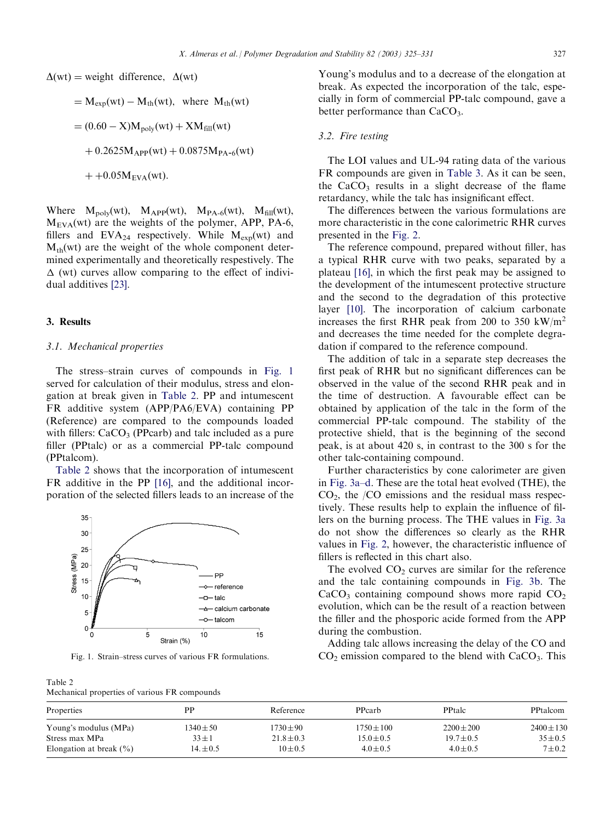$\Delta(wt)$  = weight difference,  $\Delta(wt)$ 

= 
$$
M_{exp}(wt) - M_{th}(wt)
$$
, where  $M_{th}(wt)$   
\n=  $(0.60 - X)M_{poly}(wt) + XM_{fill}(wt)$   
\n+  $0.2625M_{APP}(wt) + 0.0875M_{PA-6}(wt)$ 

 $+ +0.05M_{EVA}(wt)$ .

Where  $M_{\text{poly}}(wt)$ ,  $M_{\text{APP}}(wt)$ ,  $M_{\text{PA-6}}(wt)$ ,  $M_{\text{fill}}(wt)$ ,  $M_{EVA}(wt)$  are the weights of the polymer, APP, PA-6, fillers and EVA<sub>24</sub> respectively. While  $M_{exp}(wt)$  and  $M_{th}(wt)$  are the weight of the whole component determined experimentally and theoretically respestively. The  $\Delta$  (wt) curves allow comparing to the effect of individual additives [\[23\].](#page-6-0)

## 3. Results

#### 3.1. Mechanical properties

The stress–strain curves of compounds in Fig. 1 served for calculation of their modulus, stress and elongation at break given in Table 2. PP and intumescent FR additive system (APP/PA6/EVA) containing PP (Reference) are compared to the compounds loaded with fillers:  $CaCO<sub>3</sub>$  (PPcarb) and talc included as a pure filler (PPtalc) or as a commercial PP-talc compound (PPtalcom).

Table 2 shows that the incorporation of intumescent FR additive in the PP [\[16\],](#page-6-0) and the additional incorporation of the selected fillers leads to an increase of the



Table 2 Mechanical properties of various FR compounds

Young's modulus and to a decrease of the elongation at break. As expected the incorporation of the talc, especially in form of commercial PP-talc compound, gave a better performance than  $CaCO<sub>3</sub>$ .

# 3.2. Fire testing

The LOI values and UL-94 rating data of the various FR compounds are given in [Table 3.](#page-3-0) As it can be seen, the  $CaCO<sub>3</sub>$  results in a slight decrease of the flame retardancy, while the talc has insignificant effect.

The differences between the various formulations are more characteristic in the cone calorimetric RHR curves presented in the [Fig. 2.](#page-3-0)

The reference compound, prepared without filler, has a typical RHR curve with two peaks, separated by a plateau [\[16\],](#page-6-0) in which the first peak may be assigned to the development of the intumescent protective structure and the second to the degradation of this protective layer [\[10\].](#page-6-0) The incorporation of calcium carbonate increases the first RHR peak from 200 to 350 kW/m<sup>2</sup> and decreases the time needed for the complete degradation if compared to the reference compound.

The addition of talc in a separate step decreases the first peak of RHR but no significant differences can be observed in the value of the second RHR peak and in the time of destruction. A favourable effect can be obtained by application of the talc in the form of the commercial PP-talc compound. The stability of the protective shield, that is the beginning of the second peak, is at about 420 s, in contrast to the 300 s for the other talc-containing compound.

Further characteristics by cone calorimeter are given in [Fig. 3a–d.](#page-3-0) These are the total heat evolved (THE), the  $CO<sub>2</sub>$ , the /CO emissions and the residual mass respectively. These results help to explain the influence of fillers on the burning process. The THE values in [Fig. 3a](#page-3-0) do not show the differences so clearly as the RHR values in [Fig. 2,](#page-3-0) however, the characteristic influence of fillers is reflected in this chart also.

The evolved  $CO<sub>2</sub>$  curves are similar for the reference and the talc containing compounds in [Fig. 3b](#page-3-0). The  $CaCO<sub>3</sub>$  containing compound shows more rapid  $CO<sub>2</sub>$ evolution, which can be the result of a reaction between the filler and the phosporic acide formed from the APP during the combustion.

Adding talc allows increasing the delay of the CO and Fig. 1. Strain–stress curves of various FR formulations.  $CO<sub>2</sub>$  emission compared to the blend with CaCO<sub>3</sub>. This

| Properties                  | PP            | Reference      | PPcarb         | <b>PPtalc</b>  | <b>PPtalcom</b> |
|-----------------------------|---------------|----------------|----------------|----------------|-----------------|
| Young's modulus (MPa)       | $1340 \pm 50$ | $1730 \pm 90$  | $1750 \pm 100$ | $2200 \pm 200$ | $2400 \pm 130$  |
| Stress max MPa              | $33 \pm 1$    | $21.8 \pm 0.3$ | $15.0 \pm 0.5$ | $19.7 \pm 0.5$ | $35 \pm 0.5$    |
| Elongation at break $(\% )$ | $14. \pm 0.5$ | $10 + 0.5$     | $4.0 \pm 0.5$  | $4.0 \pm 0.5$  | $7 + 0.2$       |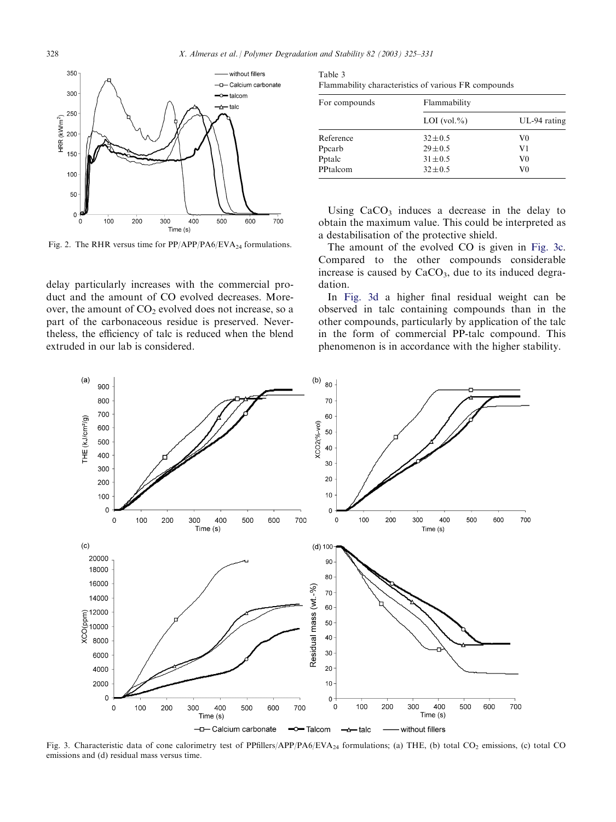<span id="page-3-0"></span>

Fig. 2. The RHR versus time for  $PP/APP/PA6/EVA_{24}$  formulations.

delay particularly increases with the commercial product and the amount of CO evolved decreases. Moreover, the amount of  $CO<sub>2</sub>$  evolved does not increase, so a part of the carbonaceous residue is preserved. Nevertheless, the efficiency of talc is reduced when the blend extruded in our lab is considered.

| Table 3                                              |
|------------------------------------------------------|
| Flammability characteristics of various FR compounds |

| For compounds | Flammability     |                |  |  |
|---------------|------------------|----------------|--|--|
|               | LOI $(vol. \% )$ | $UL-94$ rating |  |  |
| Reference     | $32 \pm 0.5$     | V0             |  |  |
| Ppcarb        | $29 + 0.5$       | V1             |  |  |
| Pptalc        | $31 \pm 0.5$     | V0             |  |  |
| PPtalcom      | $32 \pm 0.5$     | V0             |  |  |

Using  $CaCO<sub>3</sub>$  induces a decrease in the delay to obtain the maximum value. This could be interpreted as a destabilisation of the protective shield.

The amount of the evolved CO is given in Fig. 3c. Compared to the other compounds considerable increase is caused by  $CaCO<sub>3</sub>$ , due to its induced degradation.

In Fig. 3d a higher final residual weight can be observed in talc containing compounds than in the other compounds, particularly by application of the talc in the form of commercial PP-talc compound. This phenomenon is in accordance with the higher stability.



Fig. 3. Characteristic data of cone calorimetry test of PPfillers/APP/PA6/EVA<sub>24</sub> formulations; (a) THE, (b) total CO<sub>2</sub> emissions, (c) total CO emissions and (d) residual mass versus time.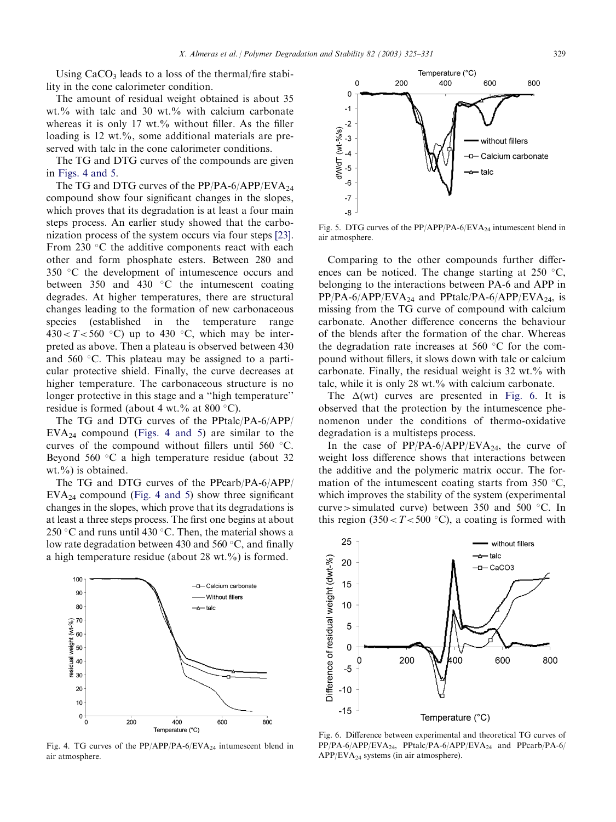Using  $CaCO<sub>3</sub>$  leads to a loss of the thermal/fire stability in the cone calorimeter condition.

The amount of residual weight obtained is about 35 wt.% with talc and 30 wt.% with calcium carbonate whereas it is only 17 wt.% without filler. As the filler loading is 12 wt.%, some additional materials are preserved with talc in the cone calorimeter conditions.

The TG and DTG curves of the compounds are given in Figs. 4 and 5.

The TG and DTG curves of the PP/PA-6/APP/EVA<sub>24</sub> compound show four significant changes in the slopes, which proves that its degradation is at least a four main steps process. An earlier study showed that the carbonization process of the system occurs via four steps [\[23\]](#page-6-0). From 230  $\degree$ C the additive components react with each other and form phosphate esters. Between 280 and  $350$  °C the development of intumescence occurs and between 350 and 430  $\degree$ C the intumescent coating degrades. At higher temperatures, there are structural changes leading to the formation of new carbonaceous species (established in the temperature range  $430 < T < 560$  °C) up to 430 °C, which may be interpreted as above. Then a plateau is observed between 430 and 560  $\degree$ C. This plateau may be assigned to a particular protective shield. Finally, the curve decreases at higher temperature. The carbonaceous structure is no longer protective in this stage and a ''high temperature'' residue is formed (about 4 wt.% at 800  $\degree$ C).

The TG and DTG curves of the PPtalc/PA-6/APP/  $EVA<sub>24</sub>$  compound (Figs. 4 and 5) are similar to the curves of the compound without fillers until  $560 °C$ . Beyond 560  $\degree$ C a high temperature residue (about 32 wt. $\%$ ) is obtained.

The TG and DTG curves of the PPcarb/PA-6/APP/  $EVA<sub>24</sub>$  compound (Fig. 4 and 5) show three significant changes in the slopes, which prove that its degradations is at least a three steps process. The first one begins at about 250 °C and runs until 430 °C. Then, the material shows a low rate degradation between 430 and 560  $\degree$ C, and finally a high temperature residue (about 28 wt.%) is formed.



Fig. 4. TG curves of the  $PP/APP/PA-6/EVA_{24}$  intumescent blend in air atmosphere.



Fig. 5. DTG curves of the  $PP/APP/PA-6/EVA_{24}$  intumescent blend in air atmosphere.

Comparing to the other compounds further differences can be noticed. The change starting at  $250 \degree C$ , belonging to the interactions between PA-6 and APP in  $PP/PA-6/APP/EVA<sub>24</sub>$  and  $PPtalc/PA-6/APP/EVA<sub>24</sub>$ , is missing from the TG curve of compound with calcium carbonate. Another difference concerns the behaviour of the blends after the formation of the char. Whereas the degradation rate increases at 560  $\degree$ C for the compound without fillers, it slows down with talc or calcium carbonate. Finally, the residual weight is 32 wt.% with talc, while it is only 28 wt.% with calcium carbonate.

The  $\Delta(wt)$  curves are presented in Fig. 6. It is observed that the protection by the intumescence phenomenon under the conditions of thermo-oxidative degradation is a multisteps process.

In the case of  $PP/PA-6/APP/EVA<sub>24</sub>$ , the curve of weight loss difference shows that interactions between the additive and the polymeric matrix occur. The formation of the intumescent coating starts from 350  $\,^{\circ}\text{C}$ , which improves the stability of the system (experimental curve  $>$  simulated curve) between 350 and 500  $\degree$ C. In this region  $(350 < T < 500$  °C), a coating is formed with



Fig. 6. Difference between experimental and theoretical TG curves of  $PP/PA-6/APP/EVA<sub>24</sub>$ ,  $PPtalc/PA-6/APP/EVA<sub>24</sub>$  and  $PPcarb/PA-6/$  $APP/EVA<sub>24</sub>$  systems (in air atmosphere).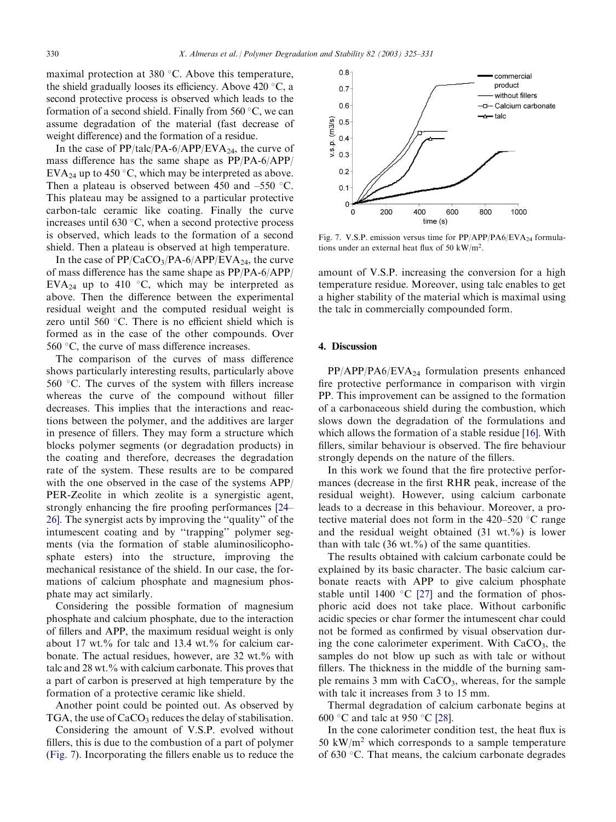maximal protection at 380 $\degree$ C. Above this temperature, the shield gradually looses its efficiency. Above  $420 \degree C$ , a second protective process is observed which leads to the formation of a second shield. Finally from  $560^{\circ}$ C, we can assume degradation of the material (fast decrease of weight difference) and the formation of a residue.

In the case of  $PP/talc/PA-6/APP/EVA<sub>24</sub>$ , the curve of mass difference has the same shape as PP/PA-6/APP/ EVA<sub>24</sub> up to 450 °C, which may be interpreted as above. Then a plateau is observed between 450 and  $-550$  °C. This plateau may be assigned to a particular protective carbon-talc ceramic like coating. Finally the curve increases until 630  $\degree$ C, when a second protective process is observed, which leads to the formation of a second shield. Then a plateau is observed at high temperature.

In the case of  $PP/CaCO<sub>3</sub>/PA-6/APP/EVA<sub>24</sub>$ , the curve of mass difference has the same shape as PP/PA-6/APP/ EVA<sub>24</sub> up to 410 °C, which may be interpreted as above. Then the difference between the experimental residual weight and the computed residual weight is zero until 560  $\degree$ C. There is no efficient shield which is formed as in the case of the other compounds. Over 560 $\degree$ C, the curve of mass difference increases.

The comparison of the curves of mass difference shows particularly interesting results, particularly above  $560$  °C. The curves of the system with fillers increase whereas the curve of the compound without filler decreases. This implies that the interactions and reactions between the polymer, and the additives are larger in presence of fillers. They may form a structure which blocks polymer segments (or degradation products) in the coating and therefore, decreases the degradation rate of the system. These results are to be compared with the one observed in the case of the systems APP/ PER-Zeolite in which zeolite is a synergistic agent, strongly enhancing the fire proofing performances [\[24–](#page-6-0) [26\].](#page-6-0) The synergist acts by improving the ''quality'' of the intumescent coating and by ''trapping'' polymer segments (via the formation of stable aluminosilicophosphate esters) into the structure, improving the mechanical resistance of the shield. In our case, the formations of calcium phosphate and magnesium phosphate may act similarly.

Considering the possible formation of magnesium phosphate and calcium phosphate, due to the interaction of fillers and APP, the maximum residual weight is only about 17 wt.% for talc and 13.4 wt.% for calcium carbonate. The actual residues, however, are 32 wt.% with talc and 28 wt.% with calcium carbonate. This proves that a part of carbon is preserved at high temperature by the formation of a protective ceramic like shield.

Another point could be pointed out. As observed by TGA, the use of  $CaCO<sub>3</sub>$  reduces the delay of stabilisation.

Considering the amount of V.S.P. evolved without fillers, this is due to the combustion of a part of polymer (Fig. 7). Incorporating the fillers enable us to reduce the



Fig. 7. V.S.P. emission versus time for  $PP/APP/PA6/EVA_{24}$  formulations under an external heat flux of 50 kW/m<sup>2</sup>.

amount of V.S.P. increasing the conversion for a high temperature residue. Moreover, using talc enables to get a higher stability of the material which is maximal using the talc in commercially compounded form.

## 4. Discussion

 $PP/APP/PA6/EVA_{24}$  formulation presents enhanced fire protective performance in comparison with virgin PP. This improvement can be assigned to the formation of a carbonaceous shield during the combustion, which slows down the degradation of the formulations and which allows the formation of a stable residue [\[16\]](#page-6-0). With fillers, similar behaviour is observed. The fire behaviour strongly depends on the nature of the fillers.

In this work we found that the fire protective performances (decrease in the first RHR peak, increase of the residual weight). However, using calcium carbonate leads to a decrease in this behaviour. Moreover, a protective material does not form in the  $420-520$  °C range and the residual weight obtained  $(31 \text{ wt.}\%)$  is lower than with talc  $(36 \text{ wt.})$ % of the same quantities.

The results obtained with calcium carbonate could be explained by its basic character. The basic calcium carbonate reacts with APP to give calcium phosphate stable until 1400 °C [\[27\]](#page-6-0) and the formation of phosphoric acid does not take place. Without carbonific acidic species or char former the intumescent char could not be formed as confirmed by visual observation during the cone calorimeter experiment. With  $CaCO<sub>3</sub>$ , the samples do not blow up such as with talc or without fillers. The thickness in the middle of the burning sample remains 3 mm with  $CaCO<sub>3</sub>$ , whereas, for the sample with talc it increases from 3 to 15 mm.

Thermal degradation of calcium carbonate begins at 600 °C and talc at 950 °C [\[28\]](#page-6-0).

In the cone calorimeter condition test, the heat flux is 50 kW/m<sup>2</sup> which corresponds to a sample temperature of 630 °C. That means, the calcium carbonate degrades